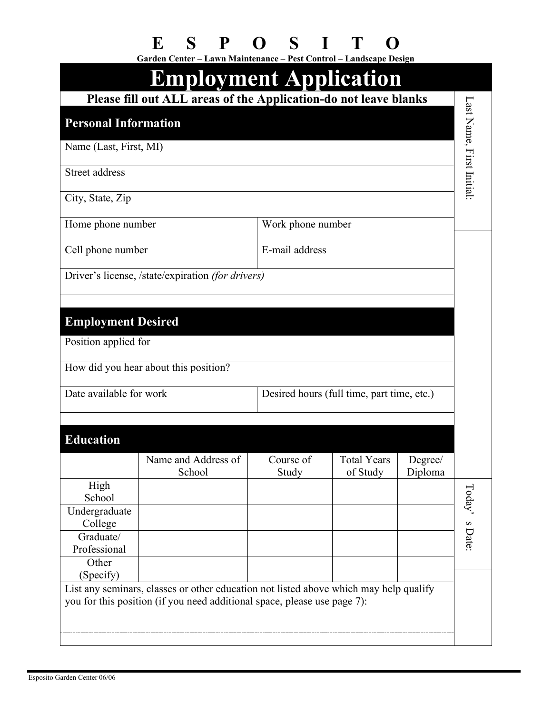|  | E S P O S I T O |  |  |
|--|-----------------|--|--|
|  |                 |  |  |

|                                                                       | Garden Center - Lawn Maintenance - Pest Control - Landscape Design<br><b>Employment Application</b> |                    |                         |                    |                           |
|-----------------------------------------------------------------------|-----------------------------------------------------------------------------------------------------|--------------------|-------------------------|--------------------|---------------------------|
|                                                                       | Please fill out ALL areas of the Application-do not leave blanks                                    |                    |                         |                    |                           |
| <b>Personal Information</b>                                           |                                                                                                     |                    |                         |                    | Last Name, First Initial: |
| Name (Last, First, MI)                                                |                                                                                                     |                    |                         |                    |                           |
| Street address                                                        |                                                                                                     |                    |                         |                    |                           |
| City, State, Zip                                                      |                                                                                                     |                    |                         |                    |                           |
| Home phone number                                                     |                                                                                                     | Work phone number  |                         |                    |                           |
| Cell phone number                                                     |                                                                                                     | E-mail address     |                         |                    |                           |
|                                                                       | Driver's license, /state/expiration (for drivers)                                                   |                    |                         |                    |                           |
|                                                                       |                                                                                                     |                    |                         |                    |                           |
| <b>Employment Desired</b>                                             |                                                                                                     |                    |                         |                    |                           |
| Position applied for                                                  |                                                                                                     |                    |                         |                    |                           |
|                                                                       | How did you hear about this position?                                                               |                    |                         |                    |                           |
| Date available for work<br>Desired hours (full time, part time, etc.) |                                                                                                     |                    |                         |                    |                           |
| <b>Education</b>                                                      |                                                                                                     |                    |                         |                    |                           |
|                                                                       | Name and Address of<br>School                                                                       | Course of<br>Study | Total Years<br>of Study | Degree/<br>Diploma |                           |
| High<br>School                                                        |                                                                                                     |                    |                         |                    |                           |
| Undergraduate<br>College                                              |                                                                                                     |                    |                         |                    | Today's Date:             |
| Graduate/                                                             |                                                                                                     |                    |                         |                    |                           |
| Professional                                                          |                                                                                                     |                    |                         |                    |                           |
| Other<br>(Specify)                                                    |                                                                                                     |                    |                         |                    |                           |
|                                                                       | List any seminars, classes or other education not listed above which may help qualify               |                    |                         |                    |                           |
|                                                                       | you for this position (if you need additional space, please use page 7):                            |                    |                         |                    |                           |
|                                                                       |                                                                                                     |                    |                         |                    |                           |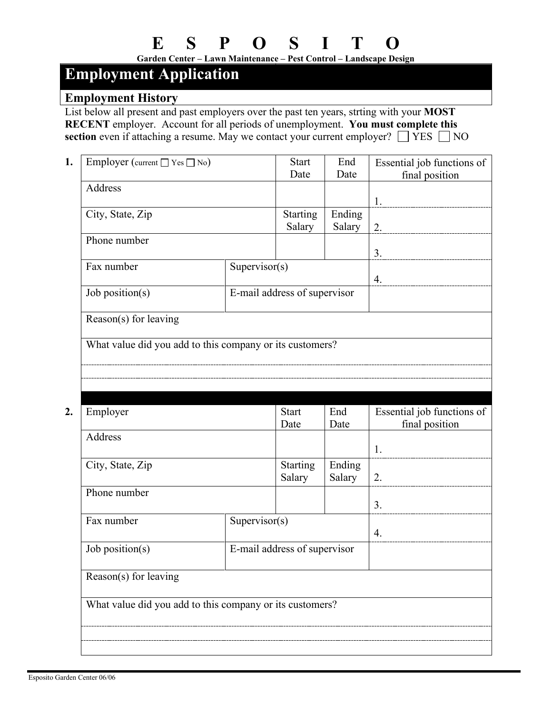**Garden Center – Lawn Maintenance – Pest Control – Landscape Design**

# **Employment Application**

#### **Employment History**

List below all present and past employers over the past ten years, strting with your **MOST RECENT** employer. Account for all periods of unemployment. **You must complete this section** even if attaching a resume. May we contact your current employer?  $\Box$  YES  $\Box$  NO

| 1. | Employer (current $\Box$ Yes $\Box$ No)                  |                  | End<br><b>Start</b>          |        | Essential job functions of |  |
|----|----------------------------------------------------------|------------------|------------------------------|--------|----------------------------|--|
|    |                                                          |                  | Date                         | Date   | final position             |  |
|    | Address                                                  |                  |                              |        |                            |  |
|    |                                                          |                  |                              |        | 1.                         |  |
|    | City, State, Zip                                         |                  | <b>Starting</b>              | Ending |                            |  |
|    |                                                          |                  | Salary                       | Salary | 2.                         |  |
|    | Phone number                                             |                  |                              |        |                            |  |
|    |                                                          |                  |                              |        | 3.                         |  |
|    | Fax number                                               | Supervisor $(s)$ |                              |        |                            |  |
|    |                                                          |                  |                              |        | 4.                         |  |
|    | Job position( $s$ )                                      |                  | E-mail address of supervisor |        |                            |  |
|    |                                                          |                  |                              |        |                            |  |
|    | Reason(s) for leaving                                    |                  |                              |        |                            |  |
|    |                                                          |                  |                              |        |                            |  |
|    | What value did you add to this company or its customers? |                  |                              |        |                            |  |
|    |                                                          |                  |                              |        |                            |  |
|    |                                                          |                  |                              |        |                            |  |
|    |                                                          |                  |                              |        |                            |  |

| Employer                                                 |                  | <b>Start</b>                 | End    | Essential job functions of |  |
|----------------------------------------------------------|------------------|------------------------------|--------|----------------------------|--|
|                                                          |                  | Date                         | Date   | final position             |  |
| Address                                                  |                  |                              |        |                            |  |
|                                                          |                  |                              |        | 1.                         |  |
| City, State, Zip                                         |                  | Starting                     | Ending |                            |  |
|                                                          |                  | Salary                       | Salary | 2.                         |  |
| Phone number                                             |                  |                              |        |                            |  |
|                                                          |                  |                              |        | 3.                         |  |
| Fax number                                               | Supervisor $(s)$ |                              |        |                            |  |
|                                                          |                  |                              |        | 4.                         |  |
| Job position(s)                                          |                  | E-mail address of supervisor |        |                            |  |
|                                                          |                  |                              |        |                            |  |
| Reason(s) for leaving                                    |                  |                              |        |                            |  |
|                                                          |                  |                              |        |                            |  |
| What value did you add to this company or its customers? |                  |                              |        |                            |  |
|                                                          |                  |                              |        |                            |  |
|                                                          |                  |                              |        |                            |  |
|                                                          |                  |                              |        |                            |  |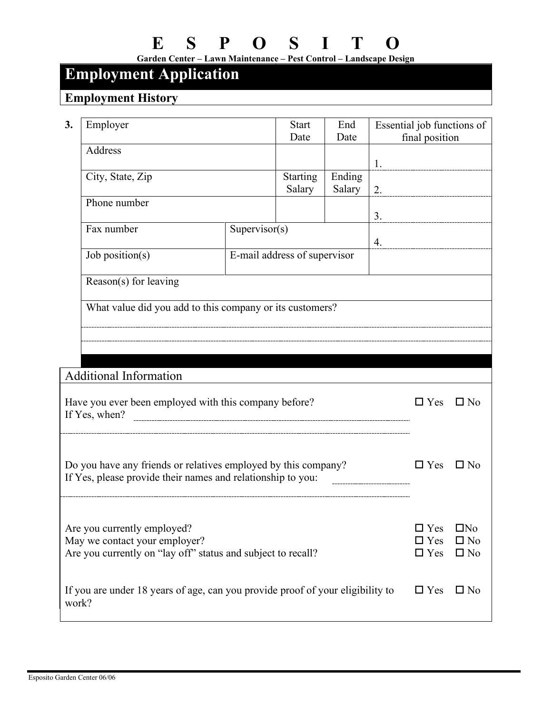**Garden Center – Lawn Maintenance – Pest Control – Landscape Design**

### **Employment Application**

## **Employment History**

| 3.                                                                                                                            | Employer                                                                                     |                              | <b>Start</b><br>Date      | End<br>Date      |              | Essential job functions of<br>final position |                           |
|-------------------------------------------------------------------------------------------------------------------------------|----------------------------------------------------------------------------------------------|------------------------------|---------------------------|------------------|--------------|----------------------------------------------|---------------------------|
|                                                                                                                               | Address                                                                                      |                              |                           |                  | 1.           |                                              |                           |
|                                                                                                                               | City, State, Zip                                                                             |                              | <b>Starting</b><br>Salary | Ending<br>Salary | 2.           |                                              |                           |
|                                                                                                                               | Phone number                                                                                 |                              |                           |                  | 3.           |                                              |                           |
|                                                                                                                               | Supervisor $(s)$<br>Fax number                                                               |                              |                           |                  | 4.           |                                              |                           |
|                                                                                                                               | Job position( $s$ )                                                                          | E-mail address of supervisor |                           |                  |              |                                              |                           |
|                                                                                                                               | Reason(s) for leaving                                                                        |                              |                           |                  |              |                                              |                           |
|                                                                                                                               | What value did you add to this company or its customers?                                     |                              |                           |                  |              |                                              |                           |
|                                                                                                                               |                                                                                              |                              |                           |                  |              |                                              |                           |
|                                                                                                                               |                                                                                              |                              |                           |                  |              |                                              |                           |
| <b>Additional Information</b>                                                                                                 |                                                                                              |                              |                           |                  |              |                                              |                           |
| Have you ever been employed with this company before?<br>If Yes, when?                                                        |                                                                                              |                              |                           |                  |              | $\Box$ Yes                                   | $\square$ No              |
|                                                                                                                               |                                                                                              |                              |                           |                  |              |                                              |                           |
| Do you have any friends or relatives employed by this company?<br>If Yes, please provide their names and relationship to you: |                                                                                              |                              |                           |                  | $\Box$ Yes   | $\Box$ No                                    |                           |
|                                                                                                                               |                                                                                              |                              |                           |                  |              |                                              |                           |
|                                                                                                                               |                                                                                              |                              |                           |                  |              |                                              |                           |
| Are you currently employed?<br>May we contact your employer?                                                                  |                                                                                              |                              |                           |                  |              | $\Box$ Yes<br>$\square$ Yes                  | $\Box$ No<br>$\square$ No |
| Are you currently on "lay off" status and subject to recall?<br>$\Box$ Yes                                                    |                                                                                              |                              |                           |                  | $\square$ No |                                              |                           |
|                                                                                                                               | If you are under 18 years of age, can you provide proof of your eligibility to<br>$\Box$ Yes |                              |                           |                  |              |                                              | $\square$ No              |
|                                                                                                                               | work?                                                                                        |                              |                           |                  |              |                                              |                           |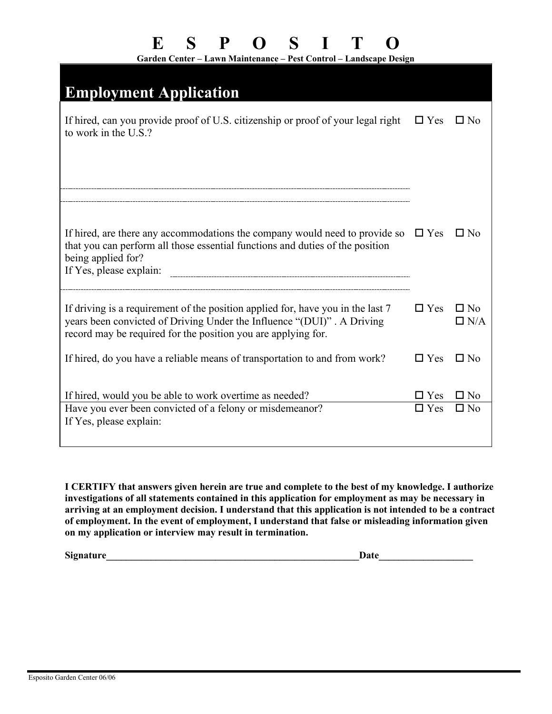**Garden Center – Lawn Maintenance – Pest Control – Landscape Design**

| <b>Employment Application</b>                                                                                                                                                                                              |                          |                            |
|----------------------------------------------------------------------------------------------------------------------------------------------------------------------------------------------------------------------------|--------------------------|----------------------------|
| If hired, can you provide proof of U.S. citizenship or proof of your legal right<br>to work in the U.S.?                                                                                                                   | $\Box$ Yes               | $\square$ No               |
|                                                                                                                                                                                                                            |                          |                            |
| If hired, are there any accommodations the company would need to provide so $\square$ Yes<br>that you can perform all those essential functions and duties of the position<br>being applied for?                           |                          | $\square$ No               |
| If driving is a requirement of the position applied for, have you in the last 7<br>years been convicted of Driving Under the Influence "(DUI)". A Driving<br>record may be required for the position you are applying for. | $\Box$ Yes               | $\square$ No<br>$\Box$ N/A |
| If hired, do you have a reliable means of transportation to and from work?                                                                                                                                                 | $\Box$ Yes               | $\square$ No               |
| If hired, would you be able to work overtime as needed?<br>Have you ever been convicted of a felony or misdemeanor?<br>If Yes, please explain:                                                                             | $\Box$ Yes<br>$\Box$ Yes | $\Box$ No<br>$\square$ No  |

**I CERTIFY that answers given herein are true and complete to the best of my knowledge. I authorize investigations of all statements contained in this application for employment as may be necessary in arriving at an employment decision. I understand that this application is not intended to be a contract of employment. In the event of employment, I understand that false or misleading information given on my application or interview may result in termination.** 

**Signature**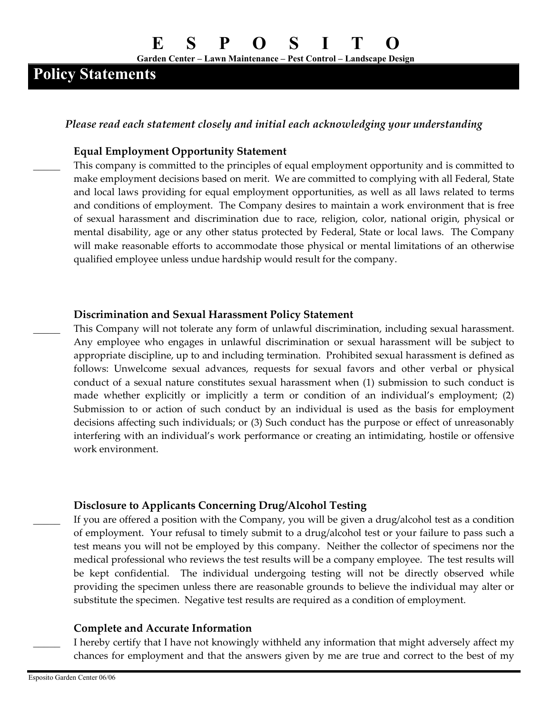**Garden Center – Lawn Maintenance – Pest Control – Landscape Design**

## **Policy Statements**

*Please read each statement closely and initial each acknowledging your understanding*

#### **Equal Employment Opportunity Statement**

This company is committed to the principles of equal employment opportunity and is committed to make employment decisions based on merit. We are committed to complying with all Federal, State and local laws providing for equal employment opportunities, as well as all laws related to terms and conditions of employment. The Company desires to maintain a work environment that is free of sexual harassment and discrimination due to race, religion, color, national origin, physical or mental disability, age or any other status protected by Federal, State or local laws. The Company will make reasonable efforts to accommodate those physical or mental limitations of an otherwise qualified employee unless undue hardship would result for the company.

#### **Discrimination and Sexual Harassment Policy Statement**

\_\_\_\_\_ This Company will not tolerate any form of unlawful discrimination, including sexual harassment. Any employee who engages in unlawful discrimination or sexual harassment will be subject to appropriate discipline, up to and including termination. Prohibited sexual harassment is defined as follows: Unwelcome sexual advances, requests for sexual favors and other verbal or physical conduct of a sexual nature constitutes sexual harassment when (1) submission to such conduct is made whether explicitly or implicitly a term or condition of an individual's employment; (2) Submission to or action of such conduct by an individual is used as the basis for employment decisions affecting such individuals; or (3) Such conduct has the purpose or effect of unreasonably interfering with an individual's work performance or creating an intimidating, hostile or offensive work environment.

#### **Disclosure to Applicants Concerning Drug/Alcohol Testing**

If you are offered a position with the Company, you will be given a drug/alcohol test as a condition of employment. Your refusal to timely submit to a drug/alcohol test or your failure to pass such a test means you will not be employed by this company. Neither the collector of specimens nor the medical professional who reviews the test results will be a company employee. The test results will be kept confidential. The individual undergoing testing will not be directly observed while providing the specimen unless there are reasonable grounds to believe the individual may alter or substitute the specimen. Negative test results are required as a condition of employment.

#### **Complete and Accurate Information**

I hereby certify that I have not knowingly withheld any information that might adversely affect my chances for employment and that the answers given by me are true and correct to the best of my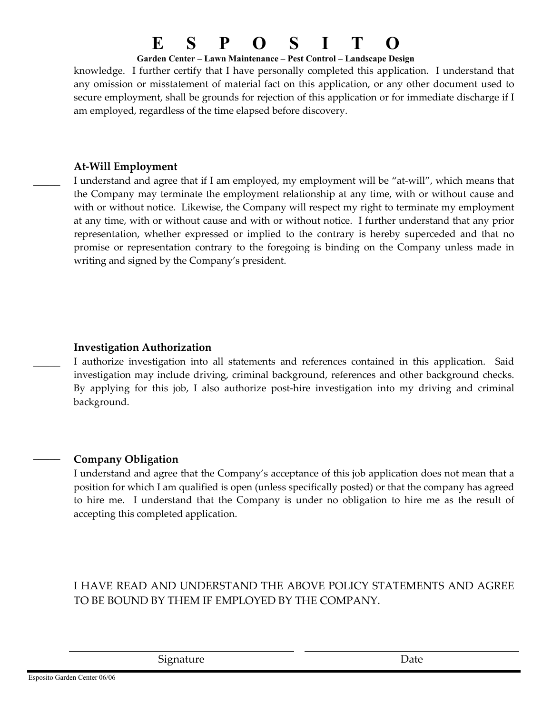#### **Garden Center – Lawn Maintenance – Pest Control – Landscape Design**

knowledge. I further certify that I have personally completed this application. I understand that any omission or misstatement of material fact on this application, or any other document used to secure employment, shall be grounds for rejection of this application or for immediate discharge if I am employed, regardless of the time elapsed before discovery.

### **At-Will Employment**

I understand and agree that if I am employed, my employment will be "at-will", which means that the Company may terminate the employment relationship at any time, with or without cause and with or without notice. Likewise, the Company will respect my right to terminate my employment at any time, with or without cause and with or without notice. I further understand that any prior representation, whether expressed or implied to the contrary is hereby superceded and that no promise or representation contrary to the foregoing is binding on the Company unless made in writing and signed by the Company's president.

### **Investigation Authorization**

I authorize investigation into all statements and references contained in this application. Said investigation may include driving, criminal background, references and other background checks. By applying for this job, I also authorize post-hire investigation into my driving and criminal background.

### \_\_\_\_\_ **Company Obligation**

I understand and agree that the Company's acceptance of this job application does not mean that a position for which I am qualified is open (unless specifically posted) or that the company has agreed to hire me. I understand that the Company is under no obligation to hire me as the result of accepting this completed application.

### I HAVE READ AND UNDERSTAND THE ABOVE POLICY STATEMENTS AND AGREE TO BE BOUND BY THEM IF EMPLOYED BY THE COMPANY.